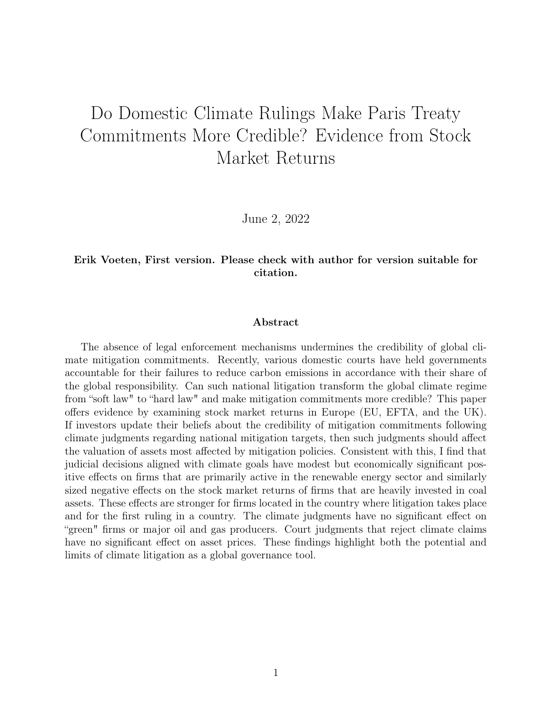# Do Domestic Climate Rulings Make Paris Treaty Commitments More Credible? Evidence from Stock Market Returns

June 2, 2022

#### Erik Voeten, First version. Please check with author for version suitable for citation.

#### Abstract

The absence of legal enforcement mechanisms undermines the credibility of global climate mitigation commitments. Recently, various domestic courts have held governments accountable for their failures to reduce carbon emissions in accordance with their share of the global responsibility. Can such national litigation transform the global climate regime from "soft law" to "hard law" and make mitigation commitments more credible? This paper offers evidence by examining stock market returns in Europe (EU, EFTA, and the UK). If investors update their beliefs about the credibility of mitigation commitments following climate judgments regarding national mitigation targets, then such judgments should affect the valuation of assets most affected by mitigation policies. Consistent with this, I find that judicial decisions aligned with climate goals have modest but economically significant positive effects on firms that are primarily active in the renewable energy sector and similarly sized negative effects on the stock market returns of firms that are heavily invested in coal assets. These effects are stronger for firms located in the country where litigation takes place and for the first ruling in a country. The climate judgments have no significant effect on "green" firms or major oil and gas producers. Court judgments that reject climate claims have no significant effect on asset prices. These findings highlight both the potential and limits of climate litigation as a global governance tool.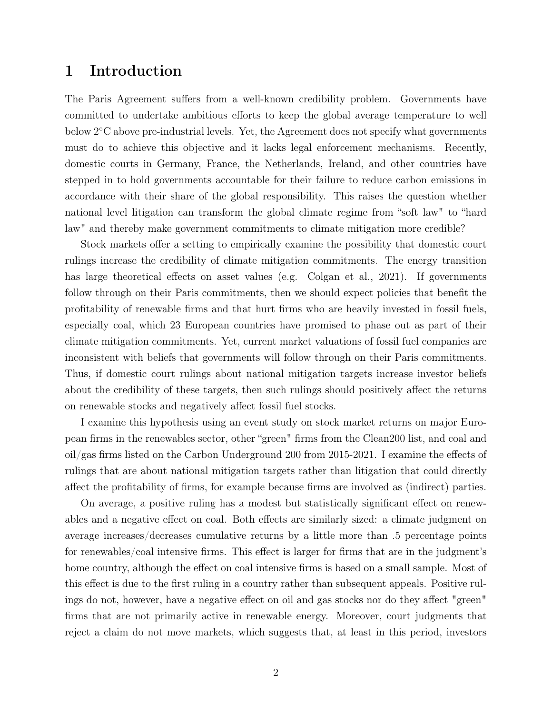### 1 Introduction

The Paris Agreement suffers from a well-known credibility problem. Governments have committed to undertake ambitious efforts to keep the global average temperature to well below 2◦C above pre-industrial levels. Yet, the Agreement does not specify what governments must do to achieve this objective and it lacks legal enforcement mechanisms. Recently, domestic courts in Germany, France, the Netherlands, Ireland, and other countries have stepped in to hold governments accountable for their failure to reduce carbon emissions in accordance with their share of the global responsibility. This raises the question whether national level litigation can transform the global climate regime from "soft law" to "hard law" and thereby make government commitments to climate mitigation more credible?

Stock markets offer a setting to empirically examine the possibility that domestic court rulings increase the credibility of climate mitigation commitments. The energy transition has large theoretical effects on asset values (e.g. Colgan et al., 2021). If governments follow through on their Paris commitments, then we should expect policies that benefit the profitability of renewable firms and that hurt firms who are heavily invested in fossil fuels, especially coal, which 23 European countries have promised to phase out as part of their climate mitigation commitments. Yet, current market valuations of fossil fuel companies are inconsistent with beliefs that governments will follow through on their Paris commitments. Thus, if domestic court rulings about national mitigation targets increase investor beliefs about the credibility of these targets, then such rulings should positively affect the returns on renewable stocks and negatively affect fossil fuel stocks.

I examine this hypothesis using an event study on stock market returns on major European firms in the renewables sector, other "green" firms from the Clean200 list, and coal and oil/gas firms listed on the Carbon Underground 200 from 2015-2021. I examine the effects of rulings that are about national mitigation targets rather than litigation that could directly affect the profitability of firms, for example because firms are involved as (indirect) parties.

On average, a positive ruling has a modest but statistically significant effect on renewables and a negative effect on coal. Both effects are similarly sized: a climate judgment on average increases/decreases cumulative returns by a little more than .5 percentage points for renewables/coal intensive firms. This effect is larger for firms that are in the judgment's home country, although the effect on coal intensive firms is based on a small sample. Most of this effect is due to the first ruling in a country rather than subsequent appeals. Positive rulings do not, however, have a negative effect on oil and gas stocks nor do they affect "green" firms that are not primarily active in renewable energy. Moreover, court judgments that reject a claim do not move markets, which suggests that, at least in this period, investors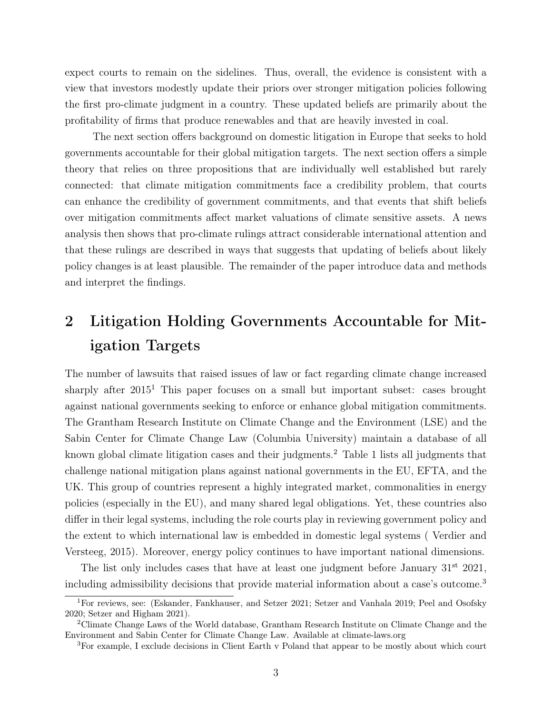expect courts to remain on the sidelines. Thus, overall, the evidence is consistent with a view that investors modestly update their priors over stronger mitigation policies following the first pro-climate judgment in a country. These updated beliefs are primarily about the profitability of firms that produce renewables and that are heavily invested in coal.

The next section offers background on domestic litigation in Europe that seeks to hold governments accountable for their global mitigation targets. The next section offers a simple theory that relies on three propositions that are individually well established but rarely connected: that climate mitigation commitments face a credibility problem, that courts can enhance the credibility of government commitments, and that events that shift beliefs over mitigation commitments affect market valuations of climate sensitive assets. A news analysis then shows that pro-climate rulings attract considerable international attention and that these rulings are described in ways that suggests that updating of beliefs about likely policy changes is at least plausible. The remainder of the paper introduce data and methods and interpret the findings.

## 2 Litigation Holding Governments Accountable for Mitigation Targets

The number of lawsuits that raised issues of law or fact regarding climate change increased sharply after 2015<sup>1</sup> This paper focuses on a small but important subset: cases brought against national governments seeking to enforce or enhance global mitigation commitments. The Grantham Research Institute on Climate Change and the Environment (LSE) and the Sabin Center for Climate Change Law (Columbia University) maintain a database of all known global climate litigation cases and their judgments.<sup>2</sup> Table 1 lists all judgments that challenge national mitigation plans against national governments in the EU, EFTA, and the UK. This group of countries represent a highly integrated market, commonalities in energy policies (especially in the EU), and many shared legal obligations. Yet, these countries also differ in their legal systems, including the role courts play in reviewing government policy and the extent to which international law is embedded in domestic legal systems ( Verdier and Versteeg, 2015). Moreover, energy policy continues to have important national dimensions.

The list only includes cases that have at least one judgment before January  $31<sup>st</sup> 2021$ , including admissibility decisions that provide material information about a case's outcome.<sup>3</sup>

<sup>1</sup>For reviews, see: (Eskander, Fankhauser, and Setzer 2021; Setzer and Vanhala 2019; Peel and Osofsky 2020; Setzer and Higham 2021).

<sup>2</sup>Climate Change Laws of the World database, Grantham Research Institute on Climate Change and the Environment and Sabin Center for Climate Change Law. Available at climate-laws.org

<sup>3</sup>For example, I exclude decisions in Client Earth v Poland that appear to be mostly about which court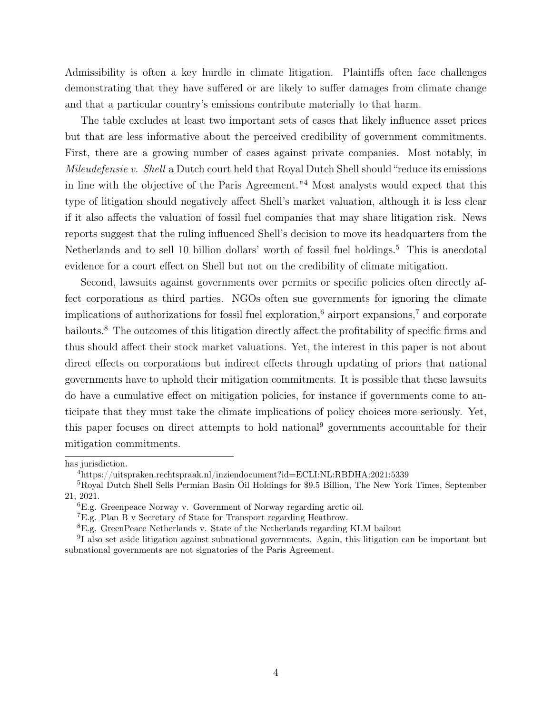Admissibility is often a key hurdle in climate litigation. Plaintiffs often face challenges demonstrating that they have suffered or are likely to suffer damages from climate change and that a particular country's emissions contribute materially to that harm.

The table excludes at least two important sets of cases that likely influence asset prices but that are less informative about the perceived credibility of government commitments. First, there are a growing number of cases against private companies. Most notably, in Mileudefensie v. Shell a Dutch court held that Royal Dutch Shell should "reduce its emissions" in line with the objective of the Paris Agreement."<sup>4</sup> Most analysts would expect that this type of litigation should negatively affect Shell's market valuation, although it is less clear if it also affects the valuation of fossil fuel companies that may share litigation risk. News reports suggest that the ruling influenced Shell's decision to move its headquarters from the Netherlands and to sell 10 billion dollars' worth of fossil fuel holdings.<sup>5</sup> This is anecdotal evidence for a court effect on Shell but not on the credibility of climate mitigation.

Second, lawsuits against governments over permits or specific policies often directly affect corporations as third parties. NGOs often sue governments for ignoring the climate implications of authorizations for fossil fuel exploration,<sup>6</sup> airport expansions,<sup>7</sup> and corporate bailouts.<sup>8</sup> The outcomes of this litigation directly affect the profitability of specific firms and thus should affect their stock market valuations. Yet, the interest in this paper is not about direct effects on corporations but indirect effects through updating of priors that national governments have to uphold their mitigation commitments. It is possible that these lawsuits do have a cumulative effect on mitigation policies, for instance if governments come to anticipate that they must take the climate implications of policy choices more seriously. Yet, this paper focuses on direct attempts to hold national<sup>9</sup> governments accountable for their mitigation commitments.

has jurisdiction.

<sup>4</sup>https://uitspraken.rechtspraak.nl/inziendocument?id=ECLI:NL:RBDHA:2021:5339

<sup>5</sup>Royal Dutch Shell Sells Permian Basin Oil Holdings for \$9.5 Billion, The New York Times, September 21, 2021.

<sup>6</sup>E.g. Greenpeace Norway v. Government of Norway regarding arctic oil.

<sup>7</sup>E.g. Plan B v Secretary of State for Transport regarding Heathrow.

<sup>8</sup>E.g. GreenPeace Netherlands v. State of the Netherlands regarding KLM bailout

<sup>&</sup>lt;sup>9</sup>I also set aside litigation against subnational governments. Again, this litigation can be important but subnational governments are not signatories of the Paris Agreement.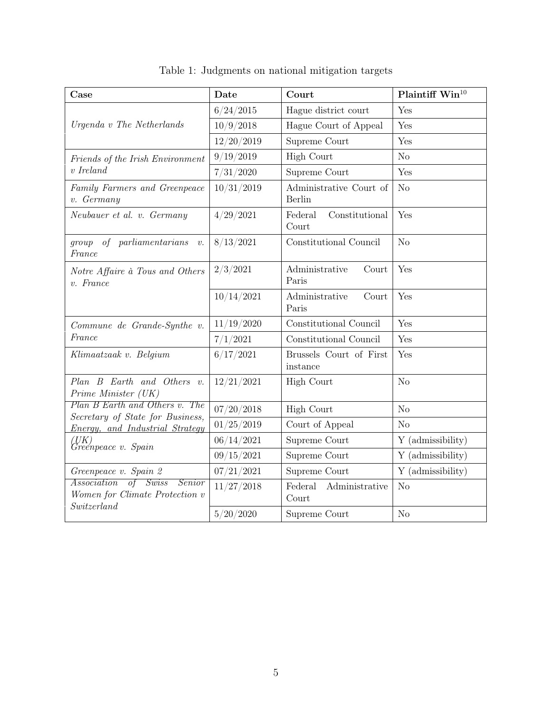| Case                                                                         | Date       | Court                               | Plaintiff Win <sup>10</sup> |
|------------------------------------------------------------------------------|------------|-------------------------------------|-----------------------------|
|                                                                              | 6/24/2015  | Hague district court                | Yes                         |
| Urgenda v The Netherlands                                                    | 10/9/2018  | Hague Court of Appeal               | Yes                         |
|                                                                              | 12/20/2019 | Supreme Court                       | Yes                         |
| Friends of the Irish Environment                                             | 9/19/2019  | <b>High Court</b>                   | No                          |
| $v$ Ireland                                                                  | 7/31/2020  | Supreme Court                       | Yes                         |
| Family Farmers and Greenpeace<br>v. Germany                                  | 10/31/2019 | Administrative Court of<br>Berlin   | No                          |
| Neubauer et al. v. Germany                                                   | 4/29/2021  | Constitutional<br>Federal<br>Court  | Yes                         |
| of parliamentarians<br>group<br>v.<br>France                                 | 8/13/2021  | Constitutional Council              | N <sub>o</sub>              |
| Notre Affaire à Tous and Others<br>$v.$ France                               | 2/3/2021   | Administrative<br>Court<br>Paris    | Yes                         |
|                                                                              | 10/14/2021 | Administrative<br>Court<br>Paris    | Yes                         |
| Commune de Grande-Synthe v.                                                  | 11/19/2020 | Constitutional Council              | Yes                         |
| France                                                                       | 7/1/2021   | Constitutional Council              | Yes                         |
| Klimaatzaak v. Belgium                                                       | 6/17/2021  | Brussels Court of First<br>instance | Yes                         |
| Plan B Earth and Others v.<br>Prime Minister (UK)                            | 12/21/2021 | <b>High Court</b>                   | N <sub>o</sub>              |
| Plan B Earth and Others v. The                                               | 07/20/2018 | <b>High Court</b>                   | No                          |
| Secretary of State for Business,<br><i>Energy, and Industrial Strategy</i>   | 01/25/2019 | Court of Appeal                     | N <sub>o</sub>              |
| 'UK)<br>Greenpeace v. Spain                                                  | 06/14/2021 | Supreme Court                       | Y (admissibility)           |
|                                                                              | 09/15/2021 | Supreme Court                       | Y (admissibility)           |
| Greenpeace v. Spain 2                                                        | 07/21/2021 | Supreme Court                       | Y (admissibility)           |
| $of$ Swiss<br>Association<br><i>Senior</i><br>Women for Climate Protection v | 11/27/2018 | Federal<br>Administrative<br>Court  | N <sub>o</sub>              |
| Switzerland                                                                  | 5/20/2020  | Supreme Court                       | N <sub>o</sub>              |

Table 1: Judgments on national mitigation targets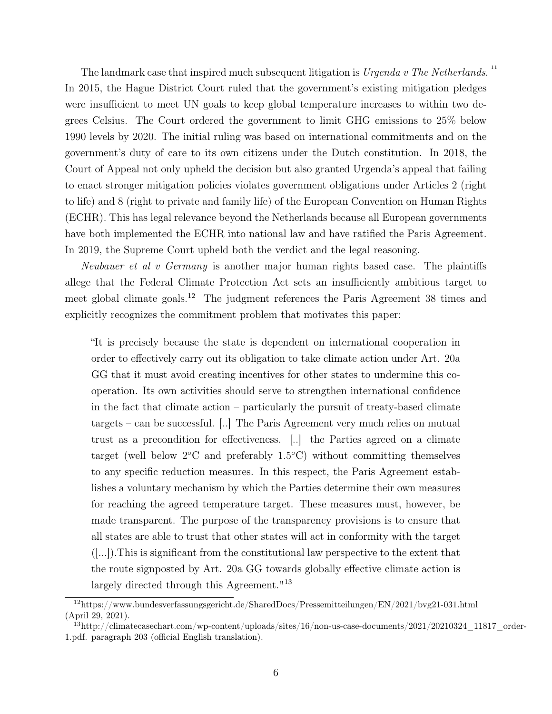The landmark case that inspired much subsequent litigation is Urgenda v The Netherlands. In 2015, the Hague District Court ruled that the government's existing mitigation pledges were insufficient to meet UN goals to keep global temperature increases to within two degrees Celsius. The Court ordered the government to limit GHG emissions to 25% below 1990 levels by 2020. The initial ruling was based on international commitments and on the government's duty of care to its own citizens under the Dutch constitution. In 2018, the Court of Appeal not only upheld the decision but also granted Urgenda's appeal that failing to enact stronger mitigation policies violates government obligations under Articles 2 (right to life) and 8 (right to private and family life) of the European Convention on Human Rights (ECHR). This has legal relevance beyond the Netherlands because all European governments have both implemented the ECHR into national law and have ratified the Paris Agreement. In 2019, the Supreme Court upheld both the verdict and the legal reasoning.

11

Neubauer et al v Germany is another major human rights based case. The plaintiffs allege that the Federal Climate Protection Act sets an insufficiently ambitious target to meet global climate goals.<sup>12</sup> The judgment references the Paris Agreement 38 times and explicitly recognizes the commitment problem that motivates this paper:

"It is precisely because the state is dependent on international cooperation in order to effectively carry out its obligation to take climate action under Art. 20a GG that it must avoid creating incentives for other states to undermine this cooperation. Its own activities should serve to strengthen international confidence in the fact that climate action – particularly the pursuit of treaty-based climate targets – can be successful. [..] The Paris Agreement very much relies on mutual trust as a precondition for effectiveness. [..] the Parties agreed on a climate target (well below  $2$ °C and preferably 1.5°C) without committing themselves to any specific reduction measures. In this respect, the Paris Agreement establishes a voluntary mechanism by which the Parties determine their own measures for reaching the agreed temperature target. These measures must, however, be made transparent. The purpose of the transparency provisions is to ensure that all states are able to trust that other states will act in conformity with the target ([...]).This is significant from the constitutional law perspective to the extent that the route signposted by Art. 20a GG towards globally effective climate action is largely directed through this Agreement."<sup>13</sup>

<sup>12</sup>https://www.bundesverfassungsgericht.de/SharedDocs/Pressemitteilungen/EN/2021/bvg21-031.html (April 29, 2021).

 $13$ http://climatecasechart.com/wp-content/uploads/sites/16/non-us-case-documents/2021/20210324\_11817\_order-1.pdf. paragraph 203 (official English translation).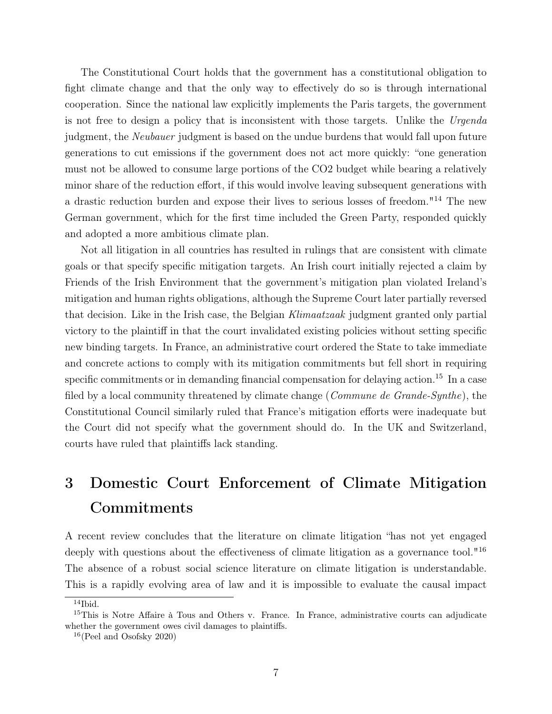The Constitutional Court holds that the government has a constitutional obligation to fight climate change and that the only way to effectively do so is through international cooperation. Since the national law explicitly implements the Paris targets, the government is not free to design a policy that is inconsistent with those targets. Unlike the Urgenda judgment, the Neubauer judgment is based on the undue burdens that would fall upon future generations to cut emissions if the government does not act more quickly: "one generation must not be allowed to consume large portions of the CO2 budget while bearing a relatively minor share of the reduction effort, if this would involve leaving subsequent generations with a drastic reduction burden and expose their lives to serious losses of freedom."<sup>14</sup> The new German government, which for the first time included the Green Party, responded quickly and adopted a more ambitious climate plan.

Not all litigation in all countries has resulted in rulings that are consistent with climate goals or that specify specific mitigation targets. An Irish court initially rejected a claim by Friends of the Irish Environment that the government's mitigation plan violated Ireland's mitigation and human rights obligations, although the Supreme Court later partially reversed that decision. Like in the Irish case, the Belgian Klimaatzaak judgment granted only partial victory to the plaintiff in that the court invalidated existing policies without setting specific new binding targets. In France, an administrative court ordered the State to take immediate and concrete actions to comply with its mitigation commitments but fell short in requiring specific commitments or in demanding financial compensation for delaying action.<sup>15</sup> In a case filed by a local community threatened by climate change (*Commune de Grande-Synthe*), the Constitutional Council similarly ruled that France's mitigation efforts were inadequate but the Court did not specify what the government should do. In the UK and Switzerland, courts have ruled that plaintiffs lack standing.

## 3 Domestic Court Enforcement of Climate Mitigation Commitments

A recent review concludes that the literature on climate litigation "has not yet engaged deeply with questions about the effectiveness of climate litigation as a governance tool."<sup>16</sup> The absence of a robust social science literature on climate litigation is understandable. This is a rapidly evolving area of law and it is impossible to evaluate the causal impact

 $\overline{^{14}}$ Ibid.

<sup>&</sup>lt;sup>15</sup>This is Notre Affaire à Tous and Others v. France. In France, administrative courts can adjudicate whether the government owes civil damages to plaintiffs.

 $16$ (Peel and Osofsky 2020)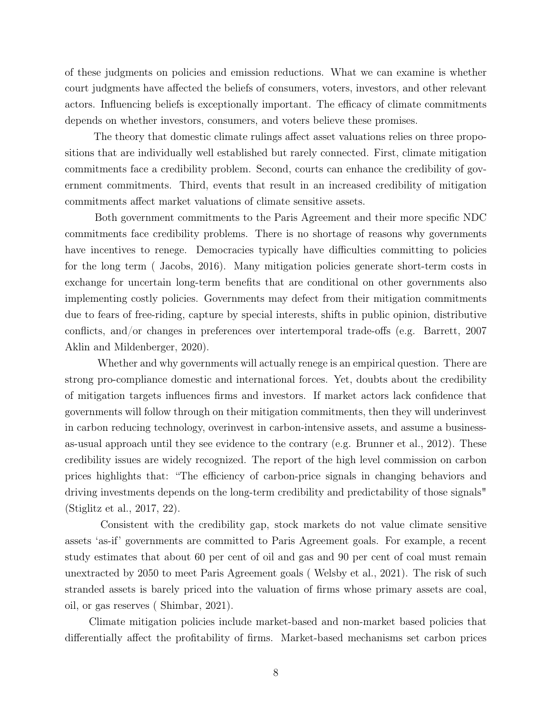of these judgments on policies and emission reductions. What we can examine is whether court judgments have affected the beliefs of consumers, voters, investors, and other relevant actors. Influencing beliefs is exceptionally important. The efficacy of climate commitments depends on whether investors, consumers, and voters believe these promises.

The theory that domestic climate rulings affect asset valuations relies on three propositions that are individually well established but rarely connected. First, climate mitigation commitments face a credibility problem. Second, courts can enhance the credibility of government commitments. Third, events that result in an increased credibility of mitigation commitments affect market valuations of climate sensitive assets.

Both government commitments to the Paris Agreement and their more specific NDC commitments face credibility problems. There is no shortage of reasons why governments have incentives to renege. Democracies typically have difficulties committing to policies for the long term ( Jacobs, 2016). Many mitigation policies generate short-term costs in exchange for uncertain long-term benefits that are conditional on other governments also implementing costly policies. Governments may defect from their mitigation commitments due to fears of free-riding, capture by special interests, shifts in public opinion, distributive conflicts, and/or changes in preferences over intertemporal trade-offs (e.g. Barrett, 2007 Aklin and Mildenberger, 2020).

Whether and why governments will actually renege is an empirical question. There are strong pro-compliance domestic and international forces. Yet, doubts about the credibility of mitigation targets influences firms and investors. If market actors lack confidence that governments will follow through on their mitigation commitments, then they will underinvest in carbon reducing technology, overinvest in carbon-intensive assets, and assume a businessas-usual approach until they see evidence to the contrary (e.g. Brunner et al., 2012). These credibility issues are widely recognized. The report of the high level commission on carbon prices highlights that: "The efficiency of carbon-price signals in changing behaviors and driving investments depends on the long-term credibility and predictability of those signals" (Stiglitz et al., 2017, 22).

Consistent with the credibility gap, stock markets do not value climate sensitive assets 'as-if' governments are committed to Paris Agreement goals. For example, a recent study estimates that about 60 per cent of oil and gas and 90 per cent of coal must remain unextracted by 2050 to meet Paris Agreement goals ( Welsby et al., 2021). The risk of such stranded assets is barely priced into the valuation of firms whose primary assets are coal, oil, or gas reserves ( Shimbar, 2021).

Climate mitigation policies include market-based and non-market based policies that differentially affect the profitability of firms. Market-based mechanisms set carbon prices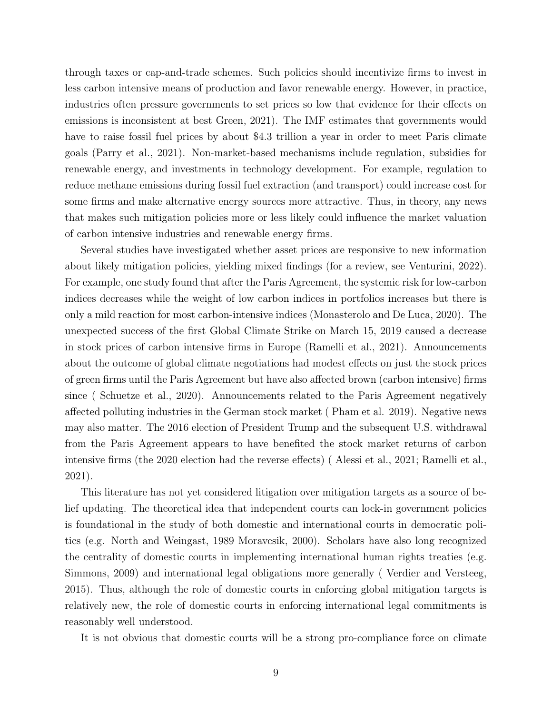through taxes or cap-and-trade schemes. Such policies should incentivize firms to invest in less carbon intensive means of production and favor renewable energy. However, in practice, industries often pressure governments to set prices so low that evidence for their effects on emissions is inconsistent at best Green, 2021). The IMF estimates that governments would have to raise fossil fuel prices by about \$4.3 trillion a year in order to meet Paris climate goals (Parry et al., 2021). Non-market-based mechanisms include regulation, subsidies for renewable energy, and investments in technology development. For example, regulation to reduce methane emissions during fossil fuel extraction (and transport) could increase cost for some firms and make alternative energy sources more attractive. Thus, in theory, any news that makes such mitigation policies more or less likely could influence the market valuation of carbon intensive industries and renewable energy firms.

Several studies have investigated whether asset prices are responsive to new information about likely mitigation policies, yielding mixed findings (for a review, see Venturini, 2022). For example, one study found that after the Paris Agreement, the systemic risk for low-carbon indices decreases while the weight of low carbon indices in portfolios increases but there is only a mild reaction for most carbon-intensive indices (Monasterolo and De Luca, 2020). The unexpected success of the first Global Climate Strike on March 15, 2019 caused a decrease in stock prices of carbon intensive firms in Europe (Ramelli et al., 2021). Announcements about the outcome of global climate negotiations had modest effects on just the stock prices of green firms until the Paris Agreement but have also affected brown (carbon intensive) firms since ( Schuetze et al., 2020). Announcements related to the Paris Agreement negatively affected polluting industries in the German stock market ( Pham et al. 2019). Negative news may also matter. The 2016 election of President Trump and the subsequent U.S. withdrawal from the Paris Agreement appears to have benefited the stock market returns of carbon intensive firms (the 2020 election had the reverse effects) ( Alessi et al., 2021; Ramelli et al., 2021).

This literature has not yet considered litigation over mitigation targets as a source of belief updating. The theoretical idea that independent courts can lock-in government policies is foundational in the study of both domestic and international courts in democratic politics (e.g. North and Weingast, 1989 Moravcsik, 2000). Scholars have also long recognized the centrality of domestic courts in implementing international human rights treaties (e.g. Simmons, 2009) and international legal obligations more generally ( Verdier and Versteeg, 2015). Thus, although the role of domestic courts in enforcing global mitigation targets is relatively new, the role of domestic courts in enforcing international legal commitments is reasonably well understood.

It is not obvious that domestic courts will be a strong pro-compliance force on climate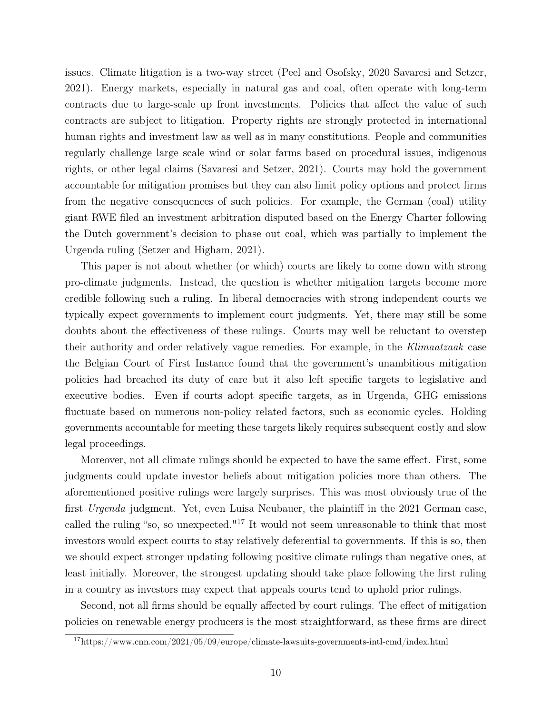issues. Climate litigation is a two-way street (Peel and Osofsky, 2020 Savaresi and Setzer, 2021). Energy markets, especially in natural gas and coal, often operate with long-term contracts due to large-scale up front investments. Policies that affect the value of such contracts are subject to litigation. Property rights are strongly protected in international human rights and investment law as well as in many constitutions. People and communities regularly challenge large scale wind or solar farms based on procedural issues, indigenous rights, or other legal claims (Savaresi and Setzer, 2021). Courts may hold the government accountable for mitigation promises but they can also limit policy options and protect firms from the negative consequences of such policies. For example, the German (coal) utility giant RWE filed an investment arbitration disputed based on the Energy Charter following the Dutch government's decision to phase out coal, which was partially to implement the Urgenda ruling (Setzer and Higham, 2021).

This paper is not about whether (or which) courts are likely to come down with strong pro-climate judgments. Instead, the question is whether mitigation targets become more credible following such a ruling. In liberal democracies with strong independent courts we typically expect governments to implement court judgments. Yet, there may still be some doubts about the effectiveness of these rulings. Courts may well be reluctant to overstep their authority and order relatively vague remedies. For example, in the Klimaatzaak case the Belgian Court of First Instance found that the government's unambitious mitigation policies had breached its duty of care but it also left specific targets to legislative and executive bodies. Even if courts adopt specific targets, as in Urgenda, GHG emissions fluctuate based on numerous non-policy related factors, such as economic cycles. Holding governments accountable for meeting these targets likely requires subsequent costly and slow legal proceedings.

Moreover, not all climate rulings should be expected to have the same effect. First, some judgments could update investor beliefs about mitigation policies more than others. The aforementioned positive rulings were largely surprises. This was most obviously true of the first Urgenda judgment. Yet, even Luisa Neubauer, the plaintiff in the 2021 German case, called the ruling "so, so unexpected."<sup>17</sup> It would not seem unreasonable to think that most investors would expect courts to stay relatively deferential to governments. If this is so, then we should expect stronger updating following positive climate rulings than negative ones, at least initially. Moreover, the strongest updating should take place following the first ruling in a country as investors may expect that appeals courts tend to uphold prior rulings.

Second, not all firms should be equally affected by court rulings. The effect of mitigation policies on renewable energy producers is the most straightforward, as these firms are direct

<sup>17</sup>https://www.cnn.com/2021/05/09/europe/climate-lawsuits-governments-intl-cmd/index.html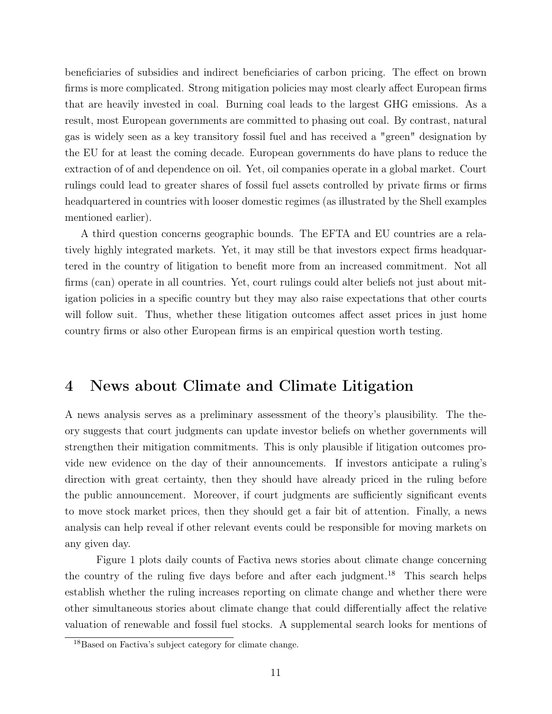beneficiaries of subsidies and indirect beneficiaries of carbon pricing. The effect on brown firms is more complicated. Strong mitigation policies may most clearly affect European firms that are heavily invested in coal. Burning coal leads to the largest GHG emissions. As a result, most European governments are committed to phasing out coal. By contrast, natural gas is widely seen as a key transitory fossil fuel and has received a "green" designation by the EU for at least the coming decade. European governments do have plans to reduce the extraction of of and dependence on oil. Yet, oil companies operate in a global market. Court rulings could lead to greater shares of fossil fuel assets controlled by private firms or firms headquartered in countries with looser domestic regimes (as illustrated by the Shell examples mentioned earlier).

A third question concerns geographic bounds. The EFTA and EU countries are a relatively highly integrated markets. Yet, it may still be that investors expect firms headquartered in the country of litigation to benefit more from an increased commitment. Not all firms (can) operate in all countries. Yet, court rulings could alter beliefs not just about mitigation policies in a specific country but they may also raise expectations that other courts will follow suit. Thus, whether these litigation outcomes affect asset prices in just home country firms or also other European firms is an empirical question worth testing.

## 4 News about Climate and Climate Litigation

A news analysis serves as a preliminary assessment of the theory's plausibility. The theory suggests that court judgments can update investor beliefs on whether governments will strengthen their mitigation commitments. This is only plausible if litigation outcomes provide new evidence on the day of their announcements. If investors anticipate a ruling's direction with great certainty, then they should have already priced in the ruling before the public announcement. Moreover, if court judgments are sufficiently significant events to move stock market prices, then they should get a fair bit of attention. Finally, a news analysis can help reveal if other relevant events could be responsible for moving markets on any given day.

Figure 1 plots daily counts of Factiva news stories about climate change concerning the country of the ruling five days before and after each judgment.<sup>18</sup> This search helps establish whether the ruling increases reporting on climate change and whether there were other simultaneous stories about climate change that could differentially affect the relative valuation of renewable and fossil fuel stocks. A supplemental search looks for mentions of

<sup>18</sup>Based on Factiva's subject category for climate change.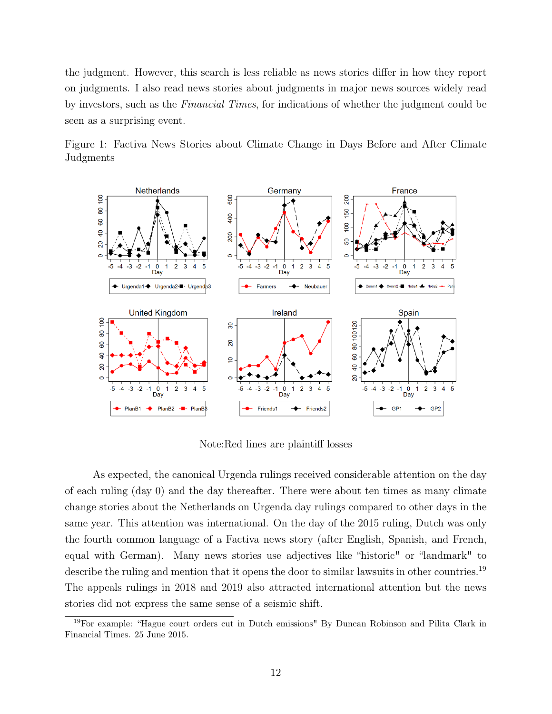the judgment. However, this search is less reliable as news stories differ in how they report on judgments. I also read news stories about judgments in major news sources widely read by investors, such as the Financial Times, for indications of whether the judgment could be seen as a surprising event.

Figure 1: Factiva News Stories about Climate Change in Days Before and After Climate Judgments



Note:Red lines are plaintiff losses

As expected, the canonical Urgenda rulings received considerable attention on the day of each ruling (day 0) and the day thereafter. There were about ten times as many climate change stories about the Netherlands on Urgenda day rulings compared to other days in the same year. This attention was international. On the day of the 2015 ruling, Dutch was only the fourth common language of a Factiva news story (after English, Spanish, and French, equal with German). Many news stories use adjectives like "historic" or "landmark" to describe the ruling and mention that it opens the door to similar lawsuits in other countries.<sup>19</sup> The appeals rulings in 2018 and 2019 also attracted international attention but the news stories did not express the same sense of a seismic shift.

<sup>19</sup>For example: "Hague court orders cut in Dutch emissions" By Duncan Robinson and Pilita Clark in Financial Times. 25 June 2015.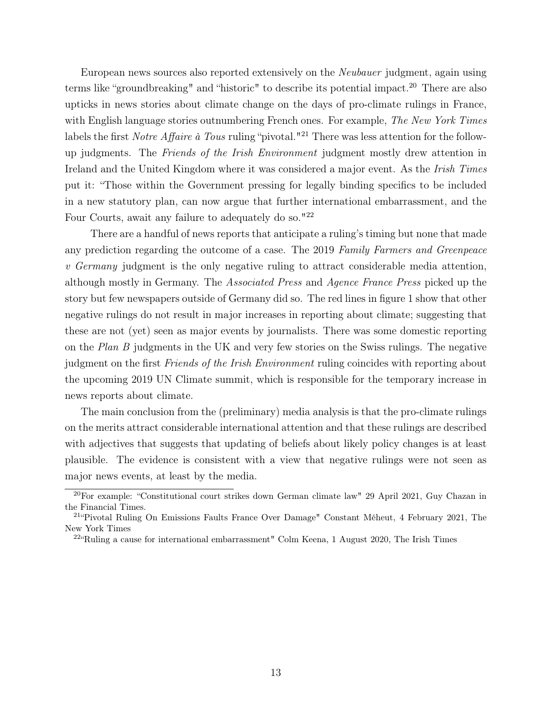European news sources also reported extensively on the Neubauer judgment, again using terms like "groundbreaking" and "historic" to describe its potential impact.<sup>20</sup> There are also upticks in news stories about climate change on the days of pro-climate rulings in France, with English language stories outnumbering French ones. For example, The New York Times labels the first *Notre Affaire à Tous* ruling "pivotal."<sup>21</sup> There was less attention for the followup judgments. The Friends of the Irish Environment judgment mostly drew attention in Ireland and the United Kingdom where it was considered a major event. As the *Irish Times* put it: "Those within the Government pressing for legally binding specifics to be included in a new statutory plan, can now argue that further international embarrassment, and the Four Courts, await any failure to adequately do so."<sup>22</sup>

There are a handful of news reports that anticipate a ruling's timing but none that made any prediction regarding the outcome of a case. The 2019 Family Farmers and Greenpeace v Germany judgment is the only negative ruling to attract considerable media attention, although mostly in Germany. The Associated Press and Agence France Press picked up the story but few newspapers outside of Germany did so. The red lines in figure 1 show that other negative rulings do not result in major increases in reporting about climate; suggesting that these are not (yet) seen as major events by journalists. There was some domestic reporting on the Plan B judgments in the UK and very few stories on the Swiss rulings. The negative judgment on the first *Friends of the Irish Environment* ruling coincides with reporting about the upcoming 2019 UN Climate summit, which is responsible for the temporary increase in news reports about climate.

The main conclusion from the (preliminary) media analysis is that the pro-climate rulings on the merits attract considerable international attention and that these rulings are described with adjectives that suggests that updating of beliefs about likely policy changes is at least plausible. The evidence is consistent with a view that negative rulings were not seen as major news events, at least by the media.

<sup>20</sup>For example: "Constitutional court strikes down German climate law" 29 April 2021, Guy Chazan in the Financial Times.

<sup>21</sup>"Pivotal Ruling On Emissions Faults France Over Damage" Constant Méheut, 4 February 2021, The New York Times

 $22^\circ$ Ruling a cause for international embarrassment" Colm Keena, 1 August 2020, The Irish Times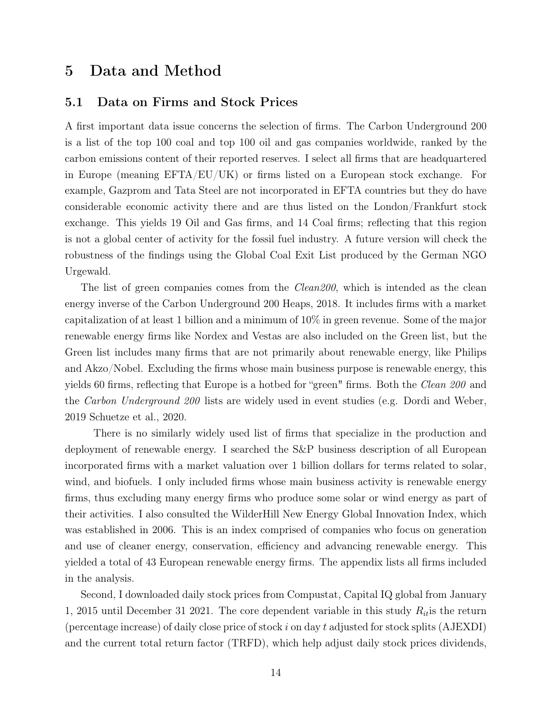## 5 Data and Method

#### 5.1 Data on Firms and Stock Prices

A first important data issue concerns the selection of firms. The Carbon Underground 200 is a list of the top 100 coal and top 100 oil and gas companies worldwide, ranked by the carbon emissions content of their reported reserves. I select all firms that are headquartered in Europe (meaning EFTA/EU/UK) or firms listed on a European stock exchange. For example, Gazprom and Tata Steel are not incorporated in EFTA countries but they do have considerable economic activity there and are thus listed on the London/Frankfurt stock exchange. This yields 19 Oil and Gas firms, and 14 Coal firms; reflecting that this region is not a global center of activity for the fossil fuel industry. A future version will check the robustness of the findings using the Global Coal Exit List produced by the German NGO Urgewald.

The list of green companies comes from the *Clean200*, which is intended as the clean energy inverse of the Carbon Underground 200 Heaps, 2018. It includes firms with a market capitalization of at least 1 billion and a minimum of 10% in green revenue. Some of the major renewable energy firms like Nordex and Vestas are also included on the Green list, but the Green list includes many firms that are not primarily about renewable energy, like Philips and Akzo/Nobel. Excluding the firms whose main business purpose is renewable energy, this yields 60 firms, reflecting that Europe is a hotbed for "green" firms. Both the *Clean 200* and the Carbon Underground 200 lists are widely used in event studies (e.g. Dordi and Weber, 2019 Schuetze et al., 2020.

There is no similarly widely used list of firms that specialize in the production and deployment of renewable energy. I searched the S&P business description of all European incorporated firms with a market valuation over 1 billion dollars for terms related to solar, wind, and biofuels. I only included firms whose main business activity is renewable energy firms, thus excluding many energy firms who produce some solar or wind energy as part of their activities. I also consulted the WilderHill New Energy Global Innovation Index, which was established in 2006. This is an index comprised of companies who focus on generation and use of cleaner energy, conservation, efficiency and advancing renewable energy. This yielded a total of 43 European renewable energy firms. The appendix lists all firms included in the analysis.

Second, I downloaded daily stock prices from Compustat, Capital IQ global from January 1, 2015 until December 31 2021. The core dependent variable in this study  $R_{it}$  is the return (percentage increase) of daily close price of stock i on day t adjusted for stock splits  $(AJEXDI)$ and the current total return factor (TRFD), which help adjust daily stock prices dividends,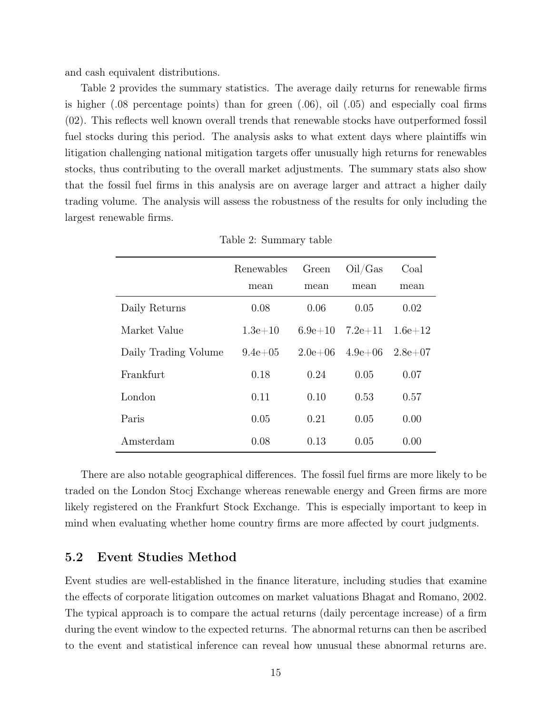and cash equivalent distributions.

Table 2 provides the summary statistics. The average daily returns for renewable firms is higher (.08 percentage points) than for green (.06), oil (.05) and especially coal firms (02). This reflects well known overall trends that renewable stocks have outperformed fossil fuel stocks during this period. The analysis asks to what extent days where plaintiffs win litigation challenging national mitigation targets offer unusually high returns for renewables stocks, thus contributing to the overall market adjustments. The summary stats also show that the fossil fuel firms in this analysis are on average larger and attract a higher daily trading volume. The analysis will assess the robustness of the results for only including the largest renewable firms.

|                      | Renewables   | Green       | Oil/Gas     | Coal        |
|----------------------|--------------|-------------|-------------|-------------|
|                      | mean         | mean        | mean        | mean        |
| Daily Returns        | 0.08         | 0.06        | 0.05        | 0.02        |
| Market Value         | $1.3e + 10$  | $6.9e + 10$ | $7.2e{+}11$ | $1.6e + 12$ |
| Daily Trading Volume | $9.4e + 0.5$ | $2.0e + 06$ | $4.9e + 06$ | $2.8e+07$   |
| Frankfurt            | 0.18         | 0.24        | 0.05        | 0.07        |
| London               | 0.11         | 0.10        | 0.53        | 0.57        |
| Paris                | 0.05         | 0.21        | 0.05        | 0.00        |
| Amsterdam            | 0.08         | 0.13        | 0.05        | 0.00        |

Table 2: Summary table

There are also notable geographical differences. The fossil fuel firms are more likely to be traded on the London Stocj Exchange whereas renewable energy and Green firms are more likely registered on the Frankfurt Stock Exchange. This is especially important to keep in mind when evaluating whether home country firms are more affected by court judgments.

#### 5.2 Event Studies Method

Event studies are well-established in the finance literature, including studies that examine the effects of corporate litigation outcomes on market valuations Bhagat and Romano, 2002. The typical approach is to compare the actual returns (daily percentage increase) of a firm during the event window to the expected returns. The abnormal returns can then be ascribed to the event and statistical inference can reveal how unusual these abnormal returns are.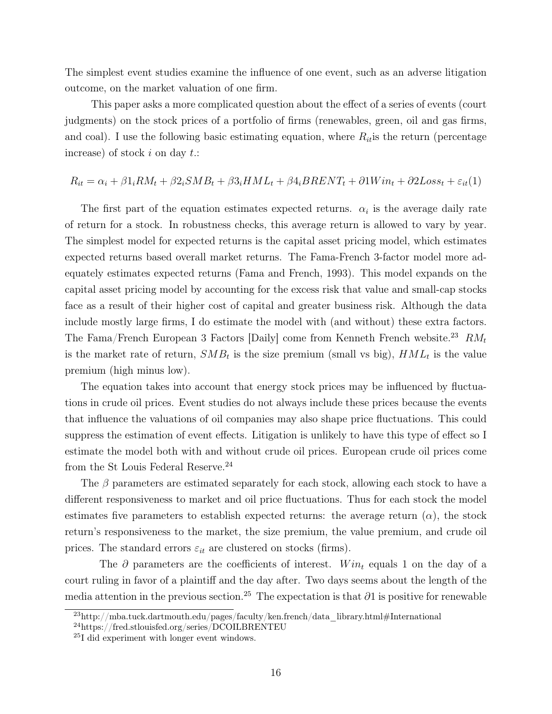The simplest event studies examine the influence of one event, such as an adverse litigation outcome, on the market valuation of one firm.

This paper asks a more complicated question about the effect of a series of events (court judgments) on the stock prices of a portfolio of firms (renewables, green, oil and gas firms, and coal). I use the following basic estimating equation, where  $R_{it}$  is the return (percentage increase) of stock  $i$  on day  $t$ .:

### $R_{it} = \alpha_i + \beta 1_i RM_t + \beta 2_i SMB_t + \beta 3_i HML_t + \beta 4_i BRENT_t + \partial 1 Win_t + \partial 2Loss_t + \varepsilon_{it}(1)$

The first part of the equation estimates expected returns.  $\alpha_i$  is the average daily rate of return for a stock. In robustness checks, this average return is allowed to vary by year. The simplest model for expected returns is the capital asset pricing model, which estimates expected returns based overall market returns. The Fama-French 3-factor model more adequately estimates expected returns (Fama and French, 1993). This model expands on the capital asset pricing model by accounting for the excess risk that value and small-cap stocks face as a result of their higher cost of capital and greater business risk. Although the data include mostly large firms, I do estimate the model with (and without) these extra factors. The Fama/French European 3 Factors [Daily] come from Kenneth French website.<sup>23</sup>  $RM_t$ is the market rate of return,  $SMB_t$  is the size premium (small vs big),  $HML_t$  is the value premium (high minus low).

The equation takes into account that energy stock prices may be influenced by fluctuations in crude oil prices. Event studies do not always include these prices because the events that influence the valuations of oil companies may also shape price fluctuations. This could suppress the estimation of event effects. Litigation is unlikely to have this type of effect so I estimate the model both with and without crude oil prices. European crude oil prices come from the St Louis Federal Reserve.<sup>24</sup>

The  $\beta$  parameters are estimated separately for each stock, allowing each stock to have a different responsiveness to market and oil price fluctuations. Thus for each stock the model estimates five parameters to establish expected returns: the average return  $(\alpha)$ , the stock return's responsiveness to the market, the size premium, the value premium, and crude oil prices. The standard errors  $\varepsilon_{it}$  are clustered on stocks (firms).

The  $\partial$  parameters are the coefficients of interest. Win<sub>t</sub> equals 1 on the day of a court ruling in favor of a plaintiff and the day after. Two days seems about the length of the media attention in the previous section.<sup>25</sup> The expectation is that  $\partial 1$  is positive for renewable

 $^{23}$ http://mba.tuck.dartmouth.edu/pages/faculty/ken.french/data\_library.html#International

<sup>24</sup>https://fred.stlouisfed.org/series/DCOILBRENTEU

<sup>25</sup>I did experiment with longer event windows.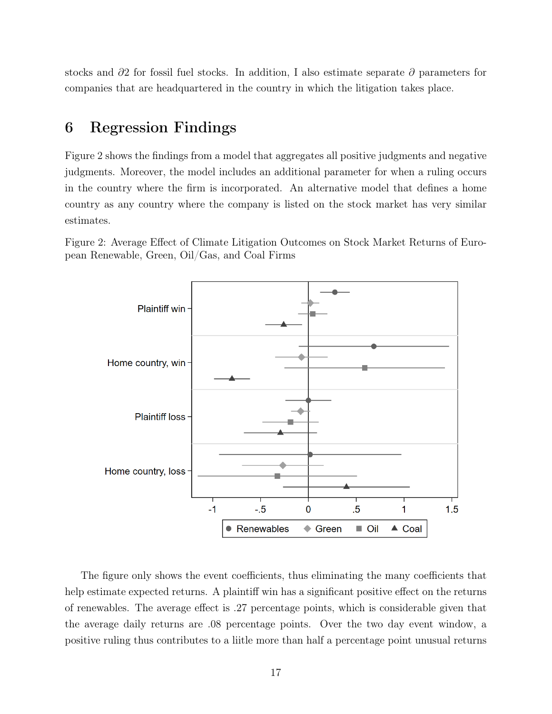stocks and ∂2 for fossil fuel stocks. In addition, I also estimate separate ∂ parameters for companies that are headquartered in the country in which the litigation takes place.

## 6 Regression Findings

Figure 2 shows the findings from a model that aggregates all positive judgments and negative judgments. Moreover, the model includes an additional parameter for when a ruling occurs in the country where the firm is incorporated. An alternative model that defines a home country as any country where the company is listed on the stock market has very similar estimates.

Figure 2: Average Effect of Climate Litigation Outcomes on Stock Market Returns of European Renewable, Green, Oil/Gas, and Coal Firms



The figure only shows the event coefficients, thus eliminating the many coefficients that help estimate expected returns. A plaintiff win has a significant positive effect on the returns of renewables. The average effect is .27 percentage points, which is considerable given that the average daily returns are .08 percentage points. Over the two day event window, a positive ruling thus contributes to a liitle more than half a percentage point unusual returns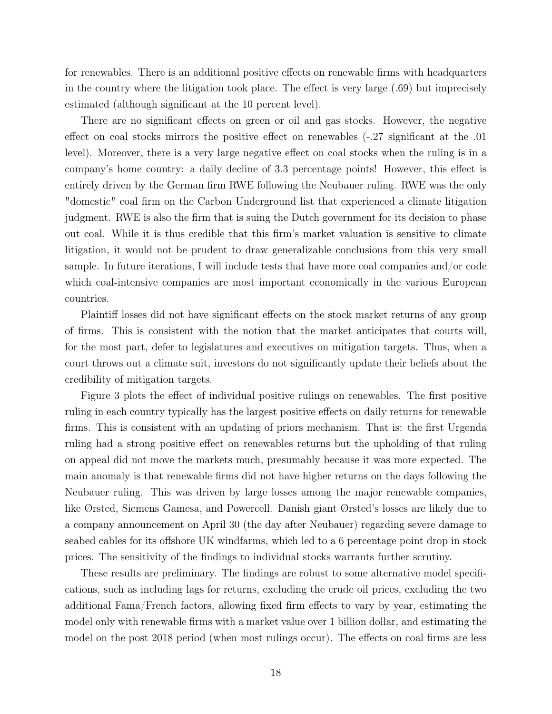for renewables. There is an additional positive effects on renewable firms with headquarters in the country where the litigation took place. The effect is very large (.69) but imprecisely estimated (although significant at the 10 percent level).

There are no significant effects on green or oil and gas stocks. However, the negative effect on coal stocks mirrors the positive effect on renewables (-.27 significant at the .01 level). Moreover, there is a very large negative effect on coal stocks when the ruling is in a company's home country: a daily decline of 3.3 percentage points! However, this effect is entirely driven by the German firm RWE following the Neubauer ruling. RWE was the only "domestic" coal firm on the Carbon Underground list that experienced a climate litigation judgment. RWE is also the firm that is suing the Dutch government for its decision to phase out coal. While it is thus credible that this firm's market valuation is sensitive to climate litigation, it would not be prudent to draw generalizable conclusions from this very small sample. In future iterations, I will include tests that have more coal companies and/or code which coal-intensive companies are most important economically in the various European countries.

Plaintiff losses did not have significant effects on the stock market returns of any group of firms. This is consistent with the notion that the market anticipates that courts will, for the most part, defer to legislatures and executives on mitigation targets. Thus, when a court throws out a climate suit, investors do not significantly update their beliefs about the credibility of mitigation targets.

Figure 3 plots the effect of individual positive rulings on renewables. The first positive ruling in each country typically has the largest positive effects on daily returns for renewable firms. This is consistent with an updating of priors mechanism. That is: the first Urgenda ruling had a strong positive effect on renewables returns but the upholding of that ruling on appeal did not move the markets much, presumably because it was more expected. The main anomaly is that renewable firms did not have higher returns on the days following the Neubauer ruling. This was driven by large losses among the major renewable companies, like Ørsted, Siemens Gamesa, and Powercell. Danish giant Ørsted's losses are likely due to a company announcement on April 30 (the day after Neubauer) regarding severe damage to seabed cables for its offshore UK windfarms, which led to a 6 percentage point drop in stock prices. The sensitivity of the findings to individual stocks warrants further scrutiny.

These results are preliminary. The findings are robust to some alternative model specifications, such as including lags for returns, excluding the crude oil prices, excluding the two additional Fama/French factors, allowing fixed firm effects to vary by year, estimating the model only with renewable firms with a market value over 1 billion dollar, and estimating the model on the post 2018 period (when most rulings occur). The effects on coal firms are less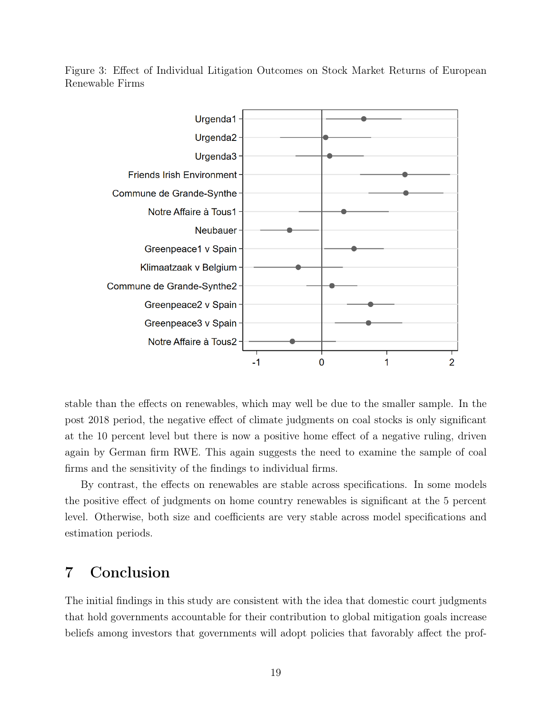Figure 3: Effect of Individual Litigation Outcomes on Stock Market Returns of European Renewable Firms



stable than the effects on renewables, which may well be due to the smaller sample. In the post 2018 period, the negative effect of climate judgments on coal stocks is only significant at the 10 percent level but there is now a positive home effect of a negative ruling, driven again by German firm RWE. This again suggests the need to examine the sample of coal firms and the sensitivity of the findings to individual firms.

By contrast, the effects on renewables are stable across specifications. In some models the positive effect of judgments on home country renewables is significant at the 5 percent level. Otherwise, both size and coefficients are very stable across model specifications and estimation periods.

## 7 Conclusion

The initial findings in this study are consistent with the idea that domestic court judgments that hold governments accountable for their contribution to global mitigation goals increase beliefs among investors that governments will adopt policies that favorably affect the prof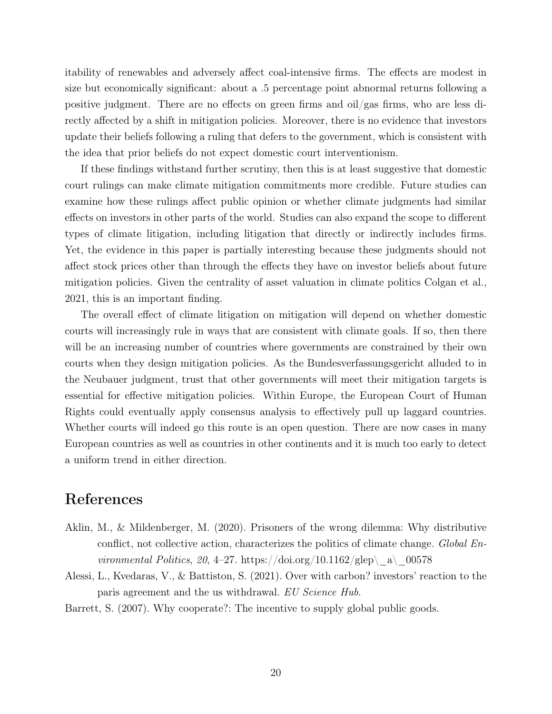itability of renewables and adversely affect coal-intensive firms. The effects are modest in size but economically significant: about a .5 percentage point abnormal returns following a positive judgment. There are no effects on green firms and oil/gas firms, who are less directly affected by a shift in mitigation policies. Moreover, there is no evidence that investors update their beliefs following a ruling that defers to the government, which is consistent with the idea that prior beliefs do not expect domestic court interventionism.

If these findings withstand further scrutiny, then this is at least suggestive that domestic court rulings can make climate mitigation commitments more credible. Future studies can examine how these rulings affect public opinion or whether climate judgments had similar effects on investors in other parts of the world. Studies can also expand the scope to different types of climate litigation, including litigation that directly or indirectly includes firms. Yet, the evidence in this paper is partially interesting because these judgments should not affect stock prices other than through the effects they have on investor beliefs about future mitigation policies. Given the centrality of asset valuation in climate politics Colgan et al., 2021, this is an important finding.

The overall effect of climate litigation on mitigation will depend on whether domestic courts will increasingly rule in ways that are consistent with climate goals. If so, then there will be an increasing number of countries where governments are constrained by their own courts when they design mitigation policies. As the Bundesverfassungsgericht alluded to in the Neubauer judgment, trust that other governments will meet their mitigation targets is essential for effective mitigation policies. Within Europe, the European Court of Human Rights could eventually apply consensus analysis to effectively pull up laggard countries. Whether courts will indeed go this route is an open question. There are now cases in many European countries as well as countries in other continents and it is much too early to detect a uniform trend in either direction.

## References

- Aklin, M., & Mildenberger, M. (2020). Prisoners of the wrong dilemma: Why distributive conflict, not collective action, characterizes the politics of climate change. Global Environmental Politics, 20, 4–27. https://doi.org/10.1162/glep\\_a\\_00578
- Alessi, L., Kvedaras, V., & Battiston, S. (2021). Over with carbon? investors' reaction to the paris agreement and the us withdrawal. EU Science Hub.

Barrett, S. (2007). Why cooperate?: The incentive to supply global public goods.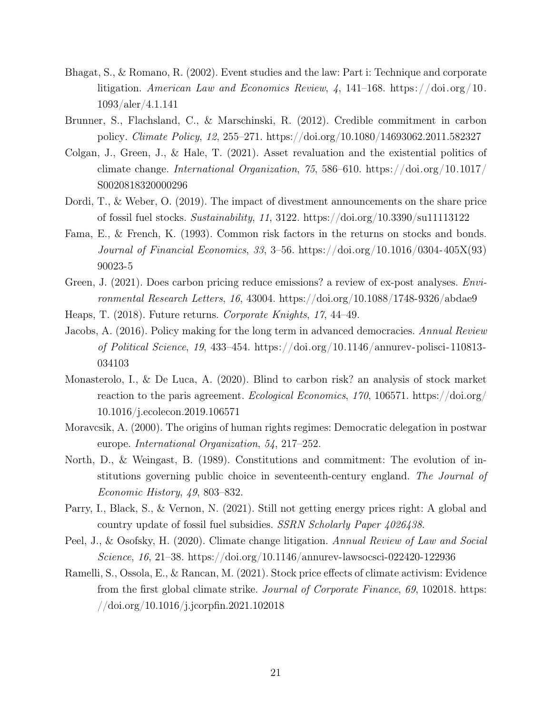- Bhagat, S., & Romano, R. (2002). Event studies and the law: Part i: Technique and corporate litigation. American Law and Economics Review,  $\frac{1}{4}$ , 141–168. https://doi.org/10. 1093/aler/4.1.141
- Brunner, S., Flachsland, C., & Marschinski, R. (2012). Credible commitment in carbon policy. Climate Policy, 12, 255–271. https://doi.org/10.1080/14693062.2011.582327
- Colgan, J., Green, J., & Hale, T. (2021). Asset revaluation and the existential politics of climate change. International Organization, 75, 586–610. https://doi.org/10.1017/ S0020818320000296
- Dordi, T., & Weber, O. (2019). The impact of divestment announcements on the share price of fossil fuel stocks. Sustainability, 11, 3122. https://doi.org/10.3390/su11113122
- Fama, E., & French, K. (1993). Common risk factors in the returns on stocks and bonds. Journal of Financial Economics, 33, 3–56. https://doi.org/10.1016/0304-405X(93) 90023-5
- Green, J. (2021). Does carbon pricing reduce emissions? a review of ex-post analyses. Environmental Research Letters, 16, 43004. https://doi.org/10.1088/1748-9326/abdae9
- Heaps, T. (2018). Future returns. Corporate Knights, 17, 44–49.
- Jacobs, A. (2016). Policy making for the long term in advanced democracies. Annual Review of Political Science, 19, 433–454. https://doi.org/10.1146/annurev-polisci-110813- 034103
- Monasterolo, I., & De Luca, A. (2020). Blind to carbon risk? an analysis of stock market reaction to the paris agreement. Ecological Economics, 170, 106571. https://doi.org/ 10.1016/j.ecolecon.2019.106571
- Moravcsik, A. (2000). The origins of human rights regimes: Democratic delegation in postwar europe. International Organization, 54, 217–252.
- North, D., & Weingast, B. (1989). Constitutions and commitment: The evolution of institutions governing public choice in seventeenth-century england. The Journal of Economic History, 49, 803–832.
- Parry, I., Black, S., & Vernon, N. (2021). Still not getting energy prices right: A global and country update of fossil fuel subsidies. SSRN Scholarly Paper 4026438.
- Peel, J., & Osofsky, H. (2020). Climate change litigation. Annual Review of Law and Social Science, 16, 21–38. https://doi.org/10.1146/annurev-lawsocsci-022420-122936
- Ramelli, S., Ossola, E., & Rancan, M. (2021). Stock price effects of climate activism: Evidence from the first global climate strike. Journal of Corporate Finance, 69, 102018. https: //doi.org/10.1016/j.jcorpfin.2021.102018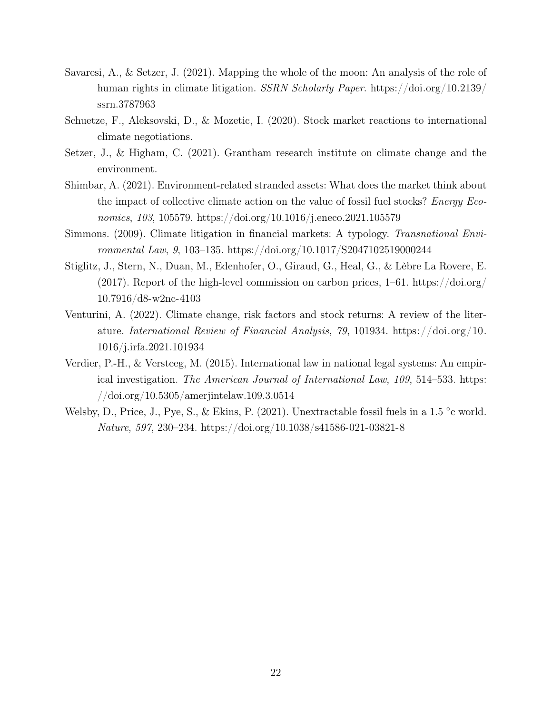- Savaresi, A., & Setzer, J. (2021). Mapping the whole of the moon: An analysis of the role of human rights in climate litigation. SSRN Scholarly Paper. https://doi.org/10.2139/ ssrn.3787963
- Schuetze, F., Aleksovski, D., & Mozetic, I. (2020). Stock market reactions to international climate negotiations.
- Setzer, J., & Higham, C. (2021). Grantham research institute on climate change and the environment.
- Shimbar, A. (2021). Environment-related stranded assets: What does the market think about the impact of collective climate action on the value of fossil fuel stocks? *Energy Eco*nomics, 103, 105579. https://doi.org/10.1016/j.eneco.2021.105579
- Simmons. (2009). Climate litigation in financial markets: A typology. Transnational Environmental Law, 9, 103–135. https://doi.org/10.1017/S2047102519000244
- Stiglitz, J., Stern, N., Duan, M., Edenhofer, O., Giraud, G., Heal, G., & Lèbre La Rovere, E. (2017). Report of the high-level commission on carbon prices, 1–61. https://doi.org/ 10.7916/d8-w2nc-4103
- Venturini, A. (2022). Climate change, risk factors and stock returns: A review of the literature. International Review of Financial Analysis, 79, 101934. https://doi.org/10. 1016/j.irfa.2021.101934
- Verdier, P.-H., & Versteeg, M. (2015). International law in national legal systems: An empirical investigation. The American Journal of International Law, 109, 514–533. https: //doi.org/10.5305/amerjintelaw.109.3.0514
- Welsby, D., Price, J., Pye, S., & Ekins, P. (2021). Unextractable fossil fuels in a 1.5 °c world. Nature, 597, 230–234. https://doi.org/10.1038/s41586-021-03821-8